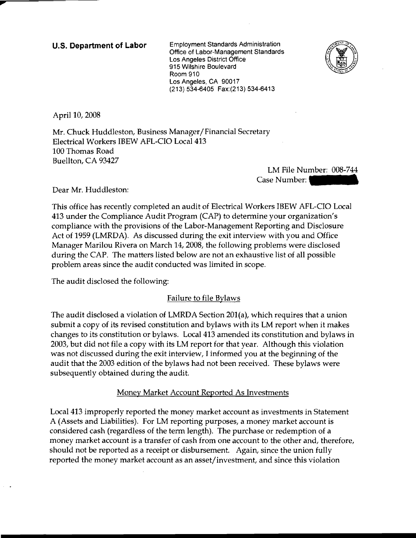u.s. **Department of Labor** Employment Standards Administration Office of Labor-Management Standards Los Angeles District Office 915 Wilshire Boulevard Room 910 Los Angeles, CA 90017 (213) 534-6405 Fax:(213) 534-6413



April 10, 2008

**....** 

> Mr. Chuck Huddleston, Business Manager/Financial Secretary Electrical Workers IBEW AFL-CIO Local 413 100 Thomas Road Buellton, CA 93427

> > LM File Number: 008-744 Case Number:

Dear Mr. Huddleston:

This office has recently completed an audit of Electrical Workers IBEW AFL-CIO Local 413 under the Compliance Audit Program (CAP) to determine your organization's compliance with the provisions of the Labor-Management Reporting and Disclosure Act of 1959 (LMRDA). As discussed during the exit interview with you and Office Manager Marilou Rivera on March 14, 2008, the following problems were disclosed during the CAP. The matters listed below are not an exhaustive list of all possible problem areas since the audit conducted was limited in scope.

The audit disclosed the following:

## Failure to file Bylaws

The audit disclosed a violation of LMRDA Section 201(a), which requires that a union submit a copy of its revised constitution and bylaws with its LM report when it makes changes to its constitution or bylaws. Local 413 amended its constitution and bylaws in 2003, but did not file a copy with its LM report for that year. Although this violation was not discussed during the exit interview, I informed you at the beginning of the audit that the 2003 edition of the bylaws had not been received. These bylaws were subsequently obtained during the audit.

Money Market Account Reported As Investments

Local 413 improperly reported the money market account as investments in Statement A (Assets and Liabilities). For LM reporting purposes, a money market account is considered cash (regardless of the term length). The purchase or redemption of a money market account is a transfer of cash from one account to the other and, therefore, should not be reported as a receipt or disbursement. Again, since the union fully reported the money market account as an asset/investment, and since this violation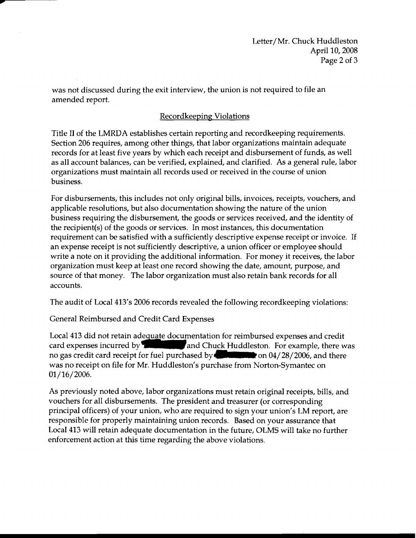was not discussed during the exit interview, the union is not required to file an amended report.

## Recordkeeping Violations

Title II of the LMRDA establishes certain reporting and recordkeeping requirements. Section 206 requires, among other things, that labor organizations maintain adequate records for at least five years by which each receipt and disbursement of funds, as well as all account balances, can be verified, explained, and clarified. As a general rule, labor organizations must maintain all records used or received in the course of union business.

For disbursements, this includes not only original bills, invoices, receipts, vouchers, and applicable resolutions, but also documentation showing the nature of the union business requiring the disbursement, the goods or services received, and the identity of the recipient(s) of the goods or services. In most instances, this documentation requirement can be satisfied with a sufficiently descriptive expense receipt or invoice. If an expense receipt is not sufficiently descriptive, a union officer or employee should write a note on it providing the additional information. For money it receives, the labor organization must keep at least one record showing the date, amount, purpose, and source of that money. The labor organization must also retain bank records for all accounts.

The audit of Local 413's 2006 records revealed the following recordkeeping violations:

General Reimbursed and Credit Card Expenses

**....** 

> Local 413 did not retain adequate documentation for reimbursed expenses and credit card expenses incurred by  $\blacksquare$  and Chuck Huddleston. For example, there was no gas credit card receipt for fuel purchased by **Indianal Property** on 04/28/2006, and there was no receipt on file for Mr. Huddleston's purchase from Norton-Symantec on 01/16/2006.

As previously noted above, labor organizations must retain original receipts, bills, and vouchers for all disbursements. The president and treasurer (or corresponding principal officers) of your union, who are required to sign your union's LM report, are responsible for properly maintaining union records. Based on your assurance that Local 413 will retain adequate documentation in the future, OLMS will take no further enforcement action at this time regarding the above violations.